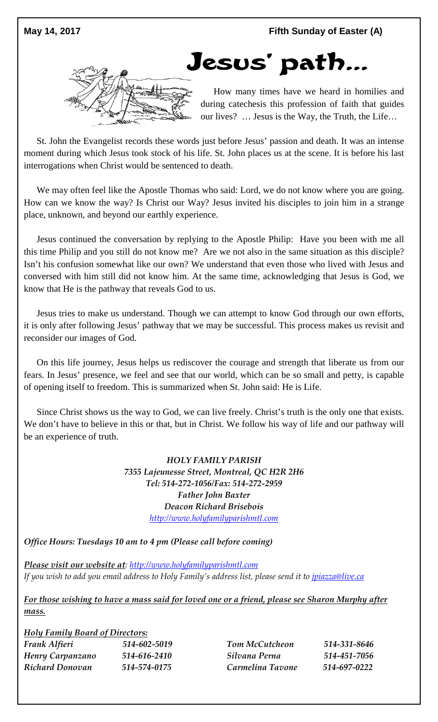



How many times have we heard in homilies and during catechesis this profession of faith that guides our lives? … Jesus is the Way, the Truth, the Life…

St. John the Evangelist records these words just before Jesus' passion and death. It was an intense moment during which Jesus took stock of his life. St. John places us at the scene. It is before his last interrogations when Christ would be sentenced to death.

We may often feel like the Apostle Thomas who said: Lord, we do not know where you are going. How can we know the way? Is Christ our Way? Jesus invited his disciples to join him in a strange place, unknown, and beyond our earthly experience.

Jesus continued the conversation by replying to the Apostle Philip: Have you been with me all this time Philip and you still do not know me? Are we not also in the same situation as this disciple? Isn't his confusion somewhat like our own? We understand that even those who lived with Jesus and conversed with him still did not know him. At the same time, acknowledging that Jesus is God, we know that He is the pathway that reveals God to us.

Jesus tries to make us understand. Though we can attempt to know God through our own efforts, it is only after following Jesus' pathway that we may be successful. This process makes us revisit and reconsider our images of God.

On this life journey, Jesus helps us rediscover the courage and strength that liberate us from our fears. In Jesus' presence, we feel and see that our world, which can be so small and petty, is capable of opening itself to freedom. This is summarized when St. John said: He is Life.

Since Christ shows us the way to God, we can live freely. Christ's truth is the only one that exists. We don't have to believe in this or that, but in Christ. We follow his way of life and our pathway will be an experience of truth.

> *HOLY FAMILY PARISH 7355 Lajeunesse Street, Montreal, QC H2R 2H6 Tel: 514-272-1056/Fax: 514-272-2959 Father John Baxter Deacon Richard Brisebois [http://www.holyfamilyparishmtl.com](http://www.holyfamilyparishmtl.com/)*

*Office Hours: Tuesdays 10 am to 4 pm (Please call before coming)*

*Please visit our website at: [http://www.holyfamilyparishmtl.com](http://www.holyfamilyparishmtl.com/) If you wish to add you email address to Holy Family's address list, please send it to [jpiazza@live.ca](mailto:jpiazza@live.ca)*

*For those wishing to have a mass said for loved one or a friend, please see Sharon Murphy after mass.*

*Holy Family Board of Directors: Frank Alfieri 514-602-5019 Henry Carpanzano 514-616-2410 Richard Donovan 514-574-0175*

*Tom McCutcheon 514-331-8646 Silvana Perna 514-451-7056 Carmelina Tavone 514-697-0222*